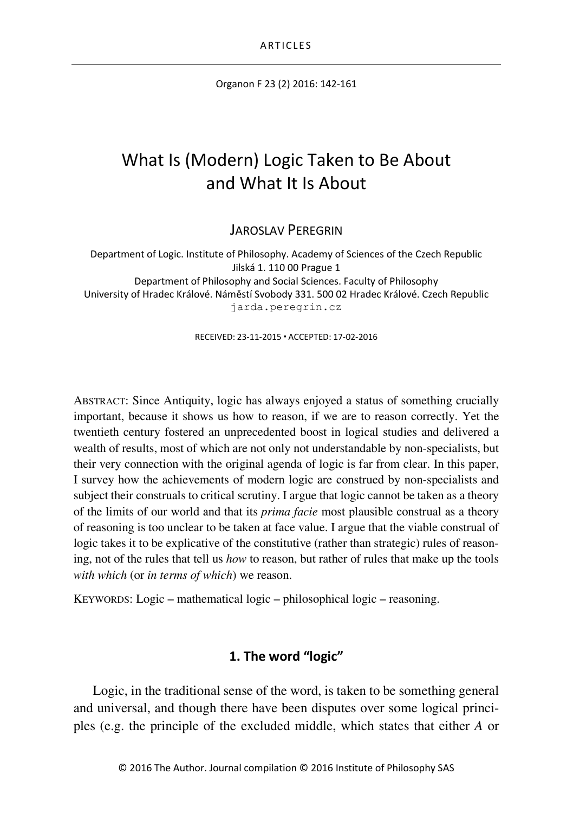Organon F 23 (2) 2016: 142-161

# What Is (Modern) Logic Taken to Be About and What It Is About

JAROSLAV PEREGRIN

Department of Logic. Institute of Philosophy. Academy of Sciences of the Czech Republic Jilská 1. 110 00 Prague 1 Department of Philosophy and Social Sciences. Faculty of Philosophy University of Hradec Králové. Náměstí Svobody 331. 500 02 Hradec Králové. Czech Republic jarda.peregrin.cz

RECEIVED: 23-11-2015 ACCEPTED: 17-02-2016

ABSTRACT: Since Antiquity, logic has always enjoyed a status of something crucially important, because it shows us how to reason, if we are to reason correctly. Yet the twentieth century fostered an unprecedented boost in logical studies and delivered a wealth of results, most of which are not only not understandable by non-specialists, but their very connection with the original agenda of logic is far from clear. In this paper, I survey how the achievements of modern logic are construed by non-specialists and subject their construals to critical scrutiny. I argue that logic cannot be taken as a theory of the limits of our world and that its *prima facie* most plausible construal as a theory of reasoning is too unclear to be taken at face value. I argue that the viable construal of logic takes it to be explicative of the constitutive (rather than strategic) rules of reasoning, not of the rules that tell us *how* to reason, but rather of rules that make up the tools *with which* (or *in terms of which*) we reason.

KEYWORDS: Logic – mathematical logic – philosophical logic – reasoning.

## **1. The word "logic"**

Logic, in the traditional sense of the word, is taken to be something general and universal, and though there have been disputes over some logical principles (e.g. the principle of the excluded middle, which states that either *A* or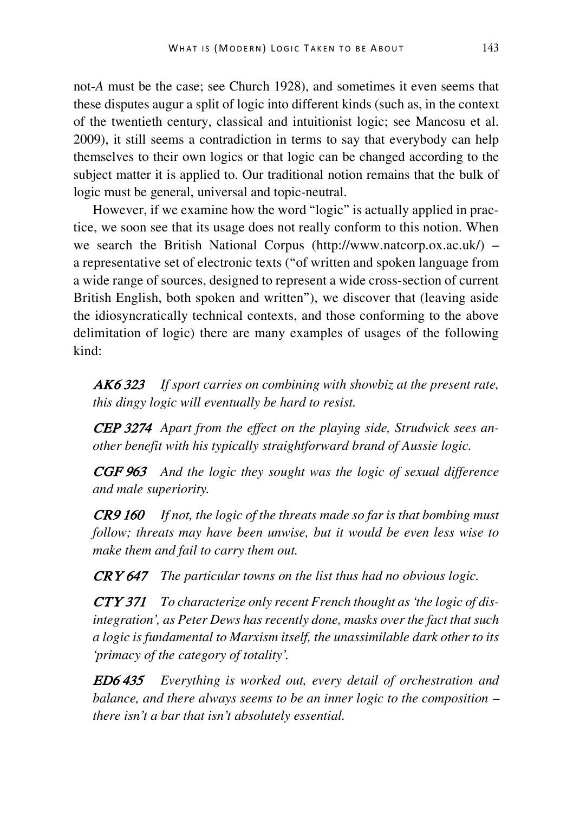not-*A* must be the case; see Church 1928), and sometimes it even seems that these disputes augur a split of logic into different kinds (such as, in the context of the twentieth century, classical and intuitionist logic; see Mancosu et al. 2009), it still seems a contradiction in terms to say that everybody can help themselves to their own logics or that logic can be changed according to the subject matter it is applied to. Our traditional notion remains that the bulk of logic must be general, universal and topic-neutral.

However, if we examine how the word "logic" is actually applied in practice, we soon see that its usage does not really conform to this notion. When we search the British National Corpus (http://www.natcorp.ox.ac.uk/) – a representative set of electronic texts ("of written and spoken language from a wide range of sources, designed to represent a wide cross-section of current British English, both spoken and written"), we discover that (leaving aside the idiosyncratically technical contexts, and those conforming to the above delimitation of logic) there are many examples of usages of the following kind:

AK6<sup>323</sup> *If sport carries on combining with showbiz at the present rate, this dingy logic will eventually be hard to resist.* 

CEP 3274 *Apart from the effect on the playing side, Strudwick sees another benefit with his typically straightforward brand of Aussie logic.*

CGF 963 *And the logic they sought was the logic of sexual difference and male superiority.*

CR9 160 *If not, the logic of the threats made so far is that bombing must follow; threats may have been unwise, but it would be even less wise to make them and fail to carry them out.* 

CRY 647 *The particular towns on the list thus had no obvious logic.* 

CTY 371 *To characterize only recent French thought as 'the logic of disintegration', as Peter Dews has recently done, masks over the fact that such a logic is fundamental to Marxism itself, the unassimilable dark other to its 'primacy of the category of totality'.* 

ED6 435 *Everything is worked out, every detail of orchestration and balance, and there always seems to be an inner logic to the composition – there isn't a bar that isn't absolutely essential.*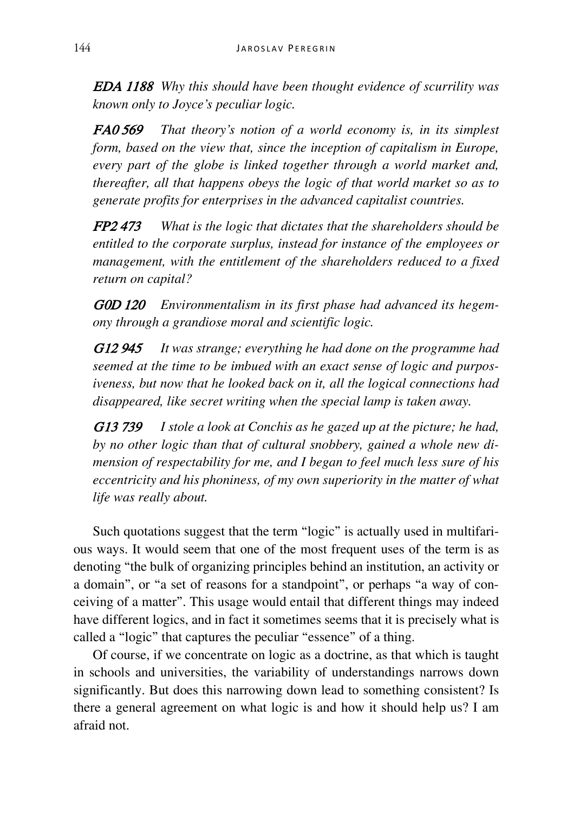EDA 1188 *Why this should have been thought evidence of scurrility was known only to Joyce's peculiar logic.* 

FA0 569 *That theory's notion of a world economy is, in its simplest form, based on the view that, since the inception of capitalism in Europe, every part of the globe is linked together through a world market and, thereafter, all that happens obeys the logic of that world market so as to generate profits for enterprises in the advanced capitalist countries.* 

FP2 473 *What is the logic that dictates that the shareholders should be entitled to the corporate surplus, instead for instance of the employees or management, with the entitlement of the shareholders reduced to a fixed return on capital?* 

G0D 120 *Environmentalism in its first phase had advanced its hegemony through a grandiose moral and scientific logic.* 

G12 945 *It was strange; everything he had done on the programme had seemed at the time to be imbued with an exact sense of logic and purposiveness, but now that he looked back on it, all the logical connections had disappeared, like secret writing when the special lamp is taken away.*

G13 739 *I stole a look at Conchis as he gazed up at the picture; he had, by no other logic than that of cultural snobbery, gained a whole new dimension of respectability for me, and I began to feel much less sure of his eccentricity and his phoniness, of my own superiority in the matter of what life was really about.*

Such quotations suggest that the term "logic" is actually used in multifarious ways. It would seem that one of the most frequent uses of the term is as denoting "the bulk of organizing principles behind an institution, an activity or a domain", or "a set of reasons for a standpoint", or perhaps "a way of conceiving of a matter". This usage would entail that different things may indeed have different logics, and in fact it sometimes seems that it is precisely what is called a "logic" that captures the peculiar "essence" of a thing.

Of course, if we concentrate on logic as a doctrine, as that which is taught in schools and universities, the variability of understandings narrows down significantly. But does this narrowing down lead to something consistent? Is there a general agreement on what logic is and how it should help us? I am afraid not.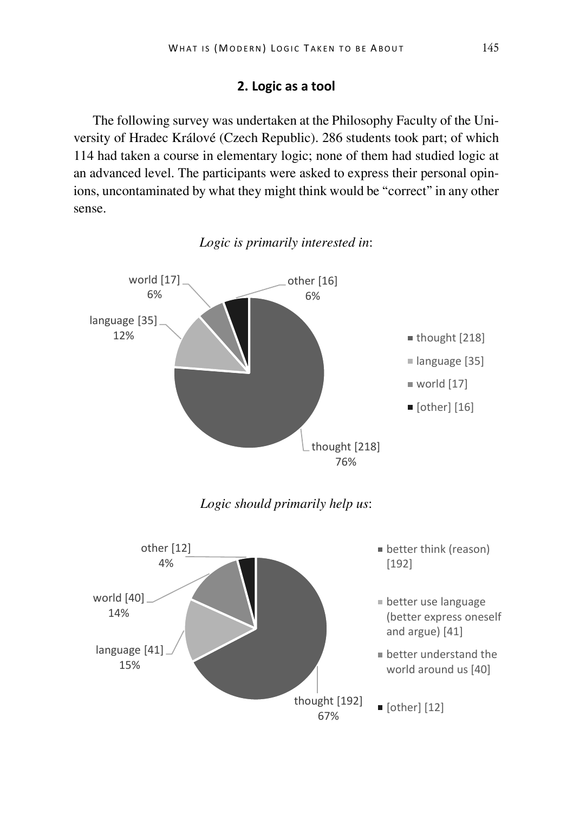## **2. Logic as a tool**

The following survey was undertaken at the Philosophy Faculty of the University of Hradec Králové (Czech Republic). 286 students took part; of which 114 had taken a course in elementary logic; none of them had studied logic at an advanced level. The participants were asked to express their personal opinions, uncontaminated by what they might think would be "correct" in any other sense.



*Logic is primarily interested in*: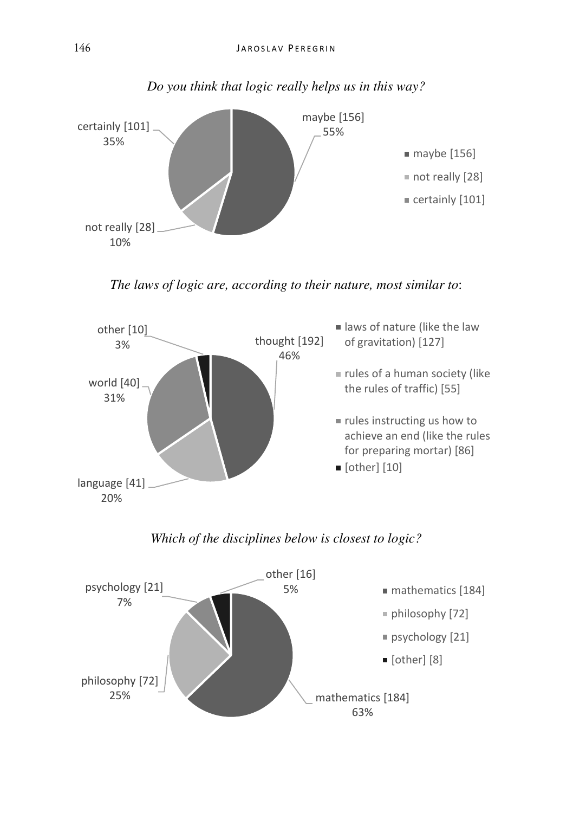

## *Do you think that logic really helps us in this way?*

*The laws of logic are, according to their nature, most similar to*:



## *Which of the disciplines below is closest to logic?*

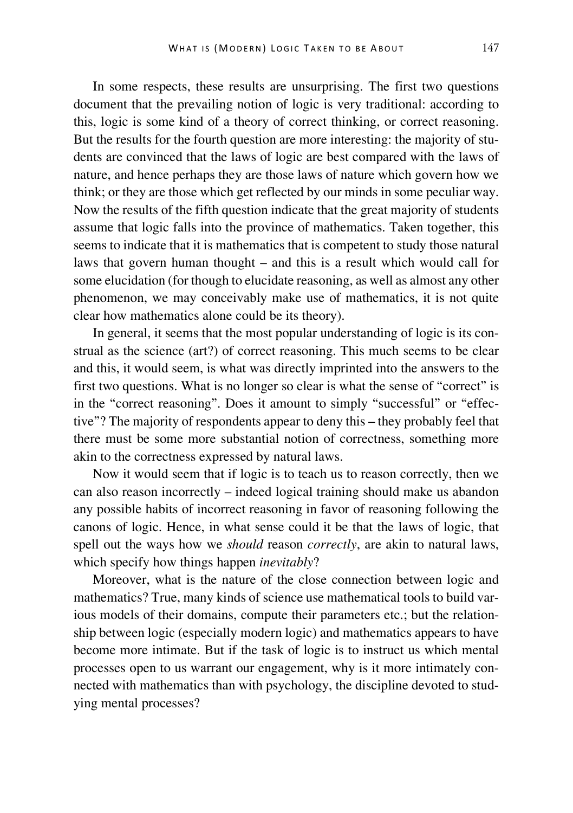In some respects, these results are unsurprising. The first two questions document that the prevailing notion of logic is very traditional: according to this, logic is some kind of a theory of correct thinking, or correct reasoning. But the results for the fourth question are more interesting: the majority of students are convinced that the laws of logic are best compared with the laws of nature, and hence perhaps they are those laws of nature which govern how we think; or they are those which get reflected by our minds in some peculiar way. Now the results of the fifth question indicate that the great majority of students assume that logic falls into the province of mathematics. Taken together, this seems to indicate that it is mathematics that is competent to study those natural laws that govern human thought – and this is a result which would call for some elucidation (for though to elucidate reasoning, as well as almost any other phenomenon, we may conceivably make use of mathematics, it is not quite clear how mathematics alone could be its theory).

In general, it seems that the most popular understanding of logic is its construal as the science (art?) of correct reasoning. This much seems to be clear and this, it would seem, is what was directly imprinted into the answers to the first two questions. What is no longer so clear is what the sense of "correct" is in the "correct reasoning". Does it amount to simply "successful" or "effective"? The majority of respondents appear to deny this – they probably feel that there must be some more substantial notion of correctness, something more akin to the correctness expressed by natural laws.

Now it would seem that if logic is to teach us to reason correctly, then we can also reason incorrectly – indeed logical training should make us abandon any possible habits of incorrect reasoning in favor of reasoning following the canons of logic. Hence, in what sense could it be that the laws of logic, that spell out the ways how we *should* reason *correctly*, are akin to natural laws, which specify how things happen *inevitably*?

Moreover, what is the nature of the close connection between logic and mathematics? True, many kinds of science use mathematical tools to build various models of their domains, compute their parameters etc.; but the relationship between logic (especially modern logic) and mathematics appears to have become more intimate. But if the task of logic is to instruct us which mental processes open to us warrant our engagement, why is it more intimately connected with mathematics than with psychology, the discipline devoted to studying mental processes?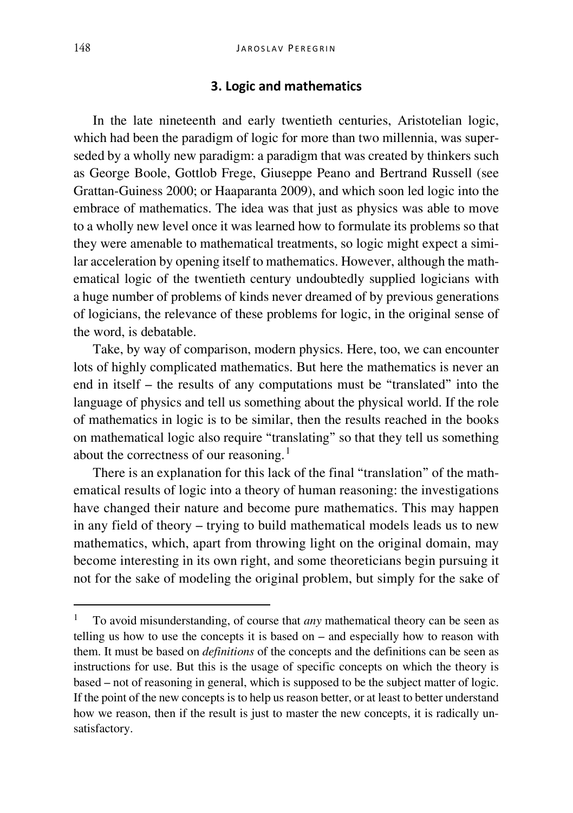## **3. Logic and mathematics**

In the late nineteenth and early twentieth centuries, Aristotelian logic, which had been the paradigm of logic for more than two millennia, was superseded by a wholly new paradigm: a paradigm that was created by thinkers such as George Boole, Gottlob Frege, Giuseppe Peano and Bertrand Russell (see Grattan-Guiness 2000; or Haaparanta 2009), and which soon led logic into the embrace of mathematics. The idea was that just as physics was able to move to a wholly new level once it was learned how to formulate its problems so that they were amenable to mathematical treatments, so logic might expect a similar acceleration by opening itself to mathematics. However, although the mathematical logic of the twentieth century undoubtedly supplied logicians with a huge number of problems of kinds never dreamed of by previous generations of logicians, the relevance of these problems for logic, in the original sense of the word, is debatable.

Take, by way of comparison, modern physics. Here, too, we can encounter lots of highly complicated mathematics. But here the mathematics is never an end in itself – the results of any computations must be "translated" into the language of physics and tell us something about the physical world. If the role of mathematics in logic is to be similar, then the results reached in the books on mathematical logic also require "translating" so that they tell us something about the correctness of our reasoning.<sup>[1](#page-6-0)</sup>

There is an explanation for this lack of the final "translation" of the mathematical results of logic into a theory of human reasoning: the investigations have changed their nature and become pure mathematics. This may happen in any field of theory – trying to build mathematical models leads us to new mathematics, which, apart from throwing light on the original domain, may become interesting in its own right, and some theoreticians begin pursuing it not for the sake of modeling the original problem, but simply for the sake of

<span id="page-6-0"></span> <sup>1</sup> To avoid misunderstanding, of course that *any* mathematical theory can be seen as telling us how to use the concepts it is based on – and especially how to reason with them. It must be based on *definitions* of the concepts and the definitions can be seen as instructions for use. But this is the usage of specific concepts on which the theory is based – not of reasoning in general, which is supposed to be the subject matter of logic. If the point of the new concepts is to help us reason better, or at least to better understand how we reason, then if the result is just to master the new concepts, it is radically unsatisfactory.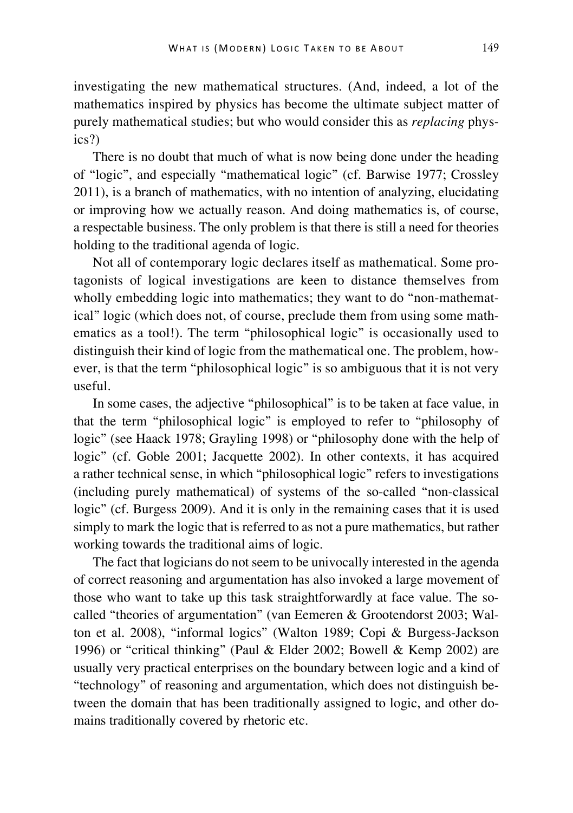investigating the new mathematical structures. (And, indeed, a lot of the mathematics inspired by physics has become the ultimate subject matter of purely mathematical studies; but who would consider this as *replacing* physics?)

There is no doubt that much of what is now being done under the heading of "logic", and especially "mathematical logic" (cf. Barwise 1977; Crossley 2011), is a branch of mathematics, with no intention of analyzing, elucidating or improving how we actually reason. And doing mathematics is, of course, a respectable business. The only problem is that there is still a need for theories holding to the traditional agenda of logic.

Not all of contemporary logic declares itself as mathematical. Some protagonists of logical investigations are keen to distance themselves from wholly embedding logic into mathematics; they want to do "non-mathematical" logic (which does not, of course, preclude them from using some mathematics as a tool!). The term "philosophical logic" is occasionally used to distinguish their kind of logic from the mathematical one. The problem, however, is that the term "philosophical logic" is so ambiguous that it is not very useful.

In some cases, the adjective "philosophical" is to be taken at face value, in that the term "philosophical logic" is employed to refer to "philosophy of logic" (see Haack 1978; Grayling 1998) or "philosophy done with the help of logic" (cf. Goble 2001; Jacquette 2002). In other contexts, it has acquired a rather technical sense, in which "philosophical logic" refers to investigations (including purely mathematical) of systems of the so-called "non-classical logic" (cf. Burgess 2009). And it is only in the remaining cases that it is used simply to mark the logic that is referred to as not a pure mathematics, but rather working towards the traditional aims of logic.

The fact that logicians do not seem to be univocally interested in the agenda of correct reasoning and argumentation has also invoked a large movement of those who want to take up this task straightforwardly at face value. The socalled "theories of argumentation" (van Eemeren & Grootendorst 2003; Walton et al. 2008), "informal logics" (Walton 1989; Copi & Burgess-Jackson 1996) or "critical thinking" (Paul & Elder 2002; Bowell & Kemp 2002) are usually very practical enterprises on the boundary between logic and a kind of "technology" of reasoning and argumentation, which does not distinguish between the domain that has been traditionally assigned to logic, and other domains traditionally covered by rhetoric etc.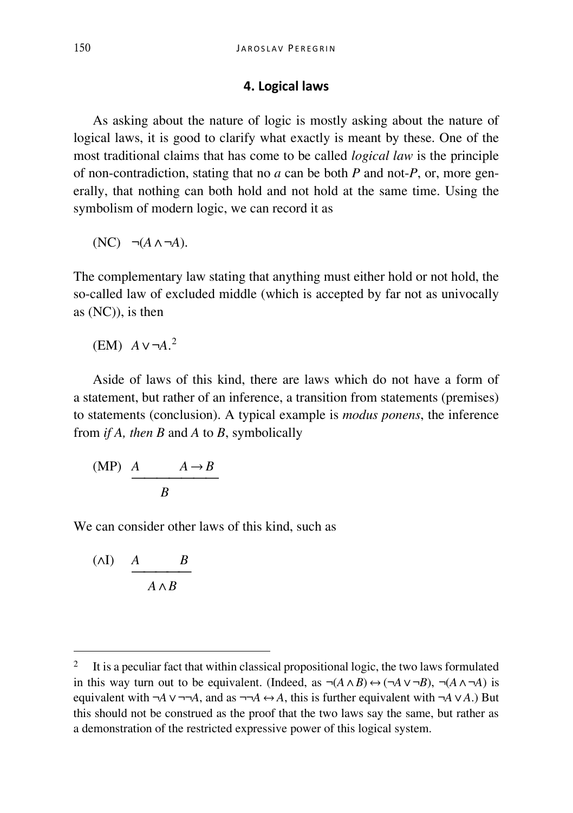#### **4. Logical laws**

As asking about the nature of logic is mostly asking about the nature of logical laws, it is good to clarify what exactly is meant by these. One of the most traditional claims that has come to be called *logical law* is the principle of non-contradiction, stating that no *a* can be both *P* and not-*P*, or, more generally, that nothing can both hold and not hold at the same time. Using the symbolism of modern logic, we can record it as

$$
(NC) \quad \neg(A \land \neg A).
$$

The complementary law stating that anything must either hold or not hold, the so-called law of excluded middle (which is accepted by far not as univocally as (NC)), is then

$$
(EM) A v \neg A.^2
$$

Aside of laws of this kind, there are laws which do not have a form of a statement, but rather of an inference, a transition from statements (premises) to statements (conclusion). A typical example is *modus ponens*, the inference from *if A, then B* and *A* to *B*, symbolically

$$
\begin{array}{c}\n\text{(MP)} \quad A \qquad A \to B \\
\hline\nB\n\end{array}
$$

We can consider other laws of this kind, such as

$$
\begin{array}{cc}\n\text{(AI)} & A & B \\
\hline\n & A \wedge B\n\end{array}
$$

<span id="page-8-0"></span><sup>&</sup>lt;sup>2</sup> It is a peculiar fact that within classical propositional logic, the two laws formulated in this way turn out to be equivalent. (Indeed, as  $\neg(A \land B) \leftrightarrow (\neg A \lor \neg B)$ ,  $\neg(A \land \neg A)$  is equivalent with  $\neg A \vee \neg \neg A$ , and as  $\neg \neg A \leftrightarrow A$ , this is further equivalent with  $\neg A \vee A$ .) But this should not be construed as the proof that the two laws say the same, but rather as a demonstration of the restricted expressive power of this logical system.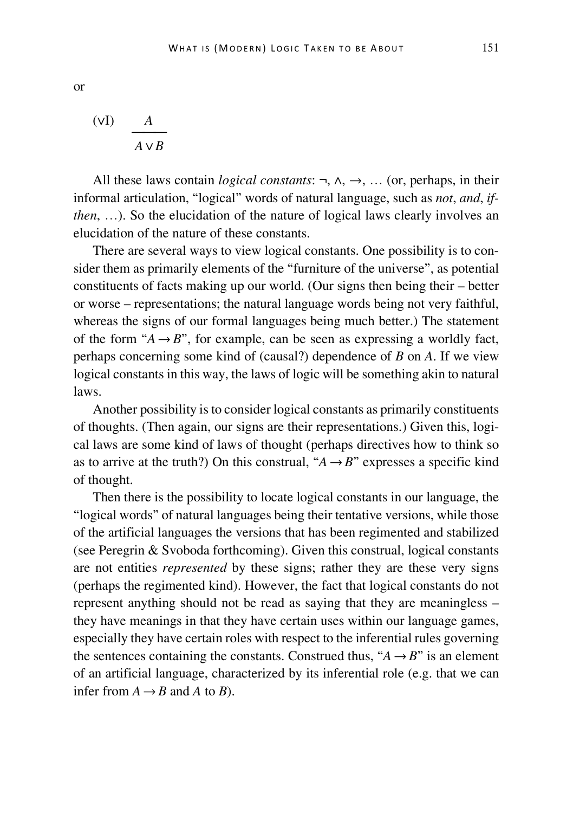$$
\frac{dV}{dV}
$$

All these laws contain *logical constants*: ¬, ∧, →, … (or, perhaps, in their informal articulation, "logical" words of natural language, such as *not*, *and*, *ifthen*, …). So the elucidation of the nature of logical laws clearly involves an elucidation of the nature of these constants.

There are several ways to view logical constants. One possibility is to consider them as primarily elements of the "furniture of the universe", as potential constituents of facts making up our world. (Our signs then being their – better or worse – representations; the natural language words being not very faithful, whereas the signs of our formal languages being much better.) The statement of the form " $A \rightarrow B$ ", for example, can be seen as expressing a worldly fact, perhaps concerning some kind of (causal?) dependence of *B* on *A*. If we view logical constants in this way, the laws of logic will be something akin to natural laws.

Another possibility is to consider logical constants as primarily constituents of thoughts. (Then again, our signs are their representations.) Given this, logical laws are some kind of laws of thought (perhaps directives how to think so as to arrive at the truth?) On this construal, " $A \rightarrow B$ " expresses a specific kind of thought.

Then there is the possibility to locate logical constants in our language, the "logical words" of natural languages being their tentative versions, while those of the artificial languages the versions that has been regimented and stabilized (see Peregrin & Svoboda forthcoming). Given this construal, logical constants are not entities *represented* by these signs; rather they are these very signs (perhaps the regimented kind). However, the fact that logical constants do not represent anything should not be read as saying that they are meaningless – they have meanings in that they have certain uses within our language games, especially they have certain roles with respect to the inferential rules governing the sentences containing the constants. Construed thus, " $A \rightarrow B$ " is an element of an artificial language, characterized by its inferential role (e.g. that we can infer from  $A \rightarrow B$  and A to B).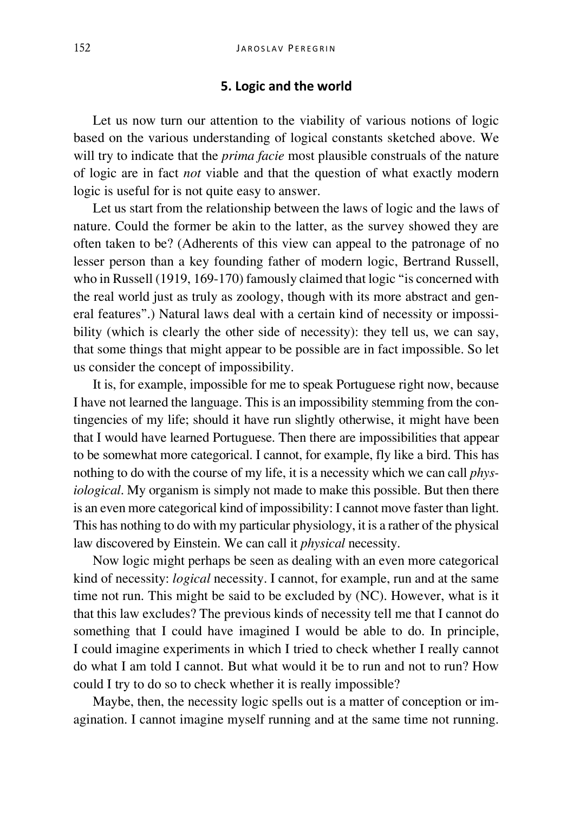#### **5. Logic and the world**

Let us now turn our attention to the viability of various notions of logic based on the various understanding of logical constants sketched above. We will try to indicate that the *prima facie* most plausible construals of the nature of logic are in fact *not* viable and that the question of what exactly modern logic is useful for is not quite easy to answer.

Let us start from the relationship between the laws of logic and the laws of nature. Could the former be akin to the latter, as the survey showed they are often taken to be? (Adherents of this view can appeal to the patronage of no lesser person than a key founding father of modern logic, Bertrand Russell, who in Russell (1919, 169-170) famously claimed that logic "is concerned with the real world just as truly as zoology, though with its more abstract and general features".) Natural laws deal with a certain kind of necessity or impossibility (which is clearly the other side of necessity): they tell us, we can say, that some things that might appear to be possible are in fact impossible. So let us consider the concept of impossibility.

It is, for example, impossible for me to speak Portuguese right now, because I have not learned the language. This is an impossibility stemming from the contingencies of my life; should it have run slightly otherwise, it might have been that I would have learned Portuguese. Then there are impossibilities that appear to be somewhat more categorical. I cannot, for example, fly like a bird. This has nothing to do with the course of my life, it is a necessity which we can call *physiological*. My organism is simply not made to make this possible. But then there is an even more categorical kind of impossibility: I cannot move faster than light. This has nothing to do with my particular physiology, it is a rather of the physical law discovered by Einstein. We can call it *physical* necessity.

Now logic might perhaps be seen as dealing with an even more categorical kind of necessity: *logical* necessity. I cannot, for example, run and at the same time not run. This might be said to be excluded by (NC). However, what is it that this law excludes? The previous kinds of necessity tell me that I cannot do something that I could have imagined I would be able to do. In principle, I could imagine experiments in which I tried to check whether I really cannot do what I am told I cannot. But what would it be to run and not to run? How could I try to do so to check whether it is really impossible?

Maybe, then, the necessity logic spells out is a matter of conception or imagination. I cannot imagine myself running and at the same time not running.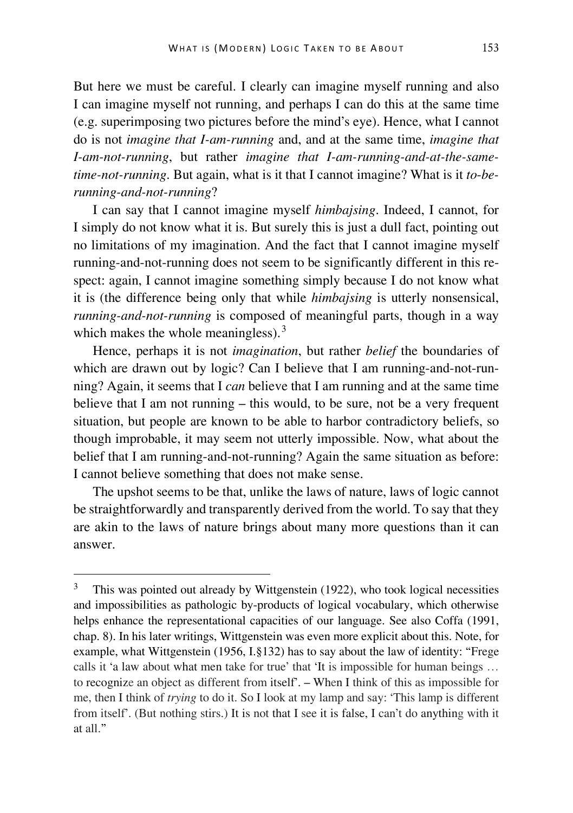But here we must be careful. I clearly can imagine myself running and also I can imagine myself not running, and perhaps I can do this at the same time (e.g. superimposing two pictures before the mind's eye). Hence, what I cannot do is not *imagine that I-am-running* and, and at the same time, *imagine that I-am-not-running*, but rather *imagine that I-am-running-and-at-the-sametime-not-running*. But again, what is it that I cannot imagine? What is it *to*-*berunning-and-not-running*?

I can say that I cannot imagine myself *himbajsing*. Indeed, I cannot, for I simply do not know what it is. But surely this is just a dull fact, pointing out no limitations of my imagination. And the fact that I cannot imagine myself running-and-not-running does not seem to be significantly different in this respect: again, I cannot imagine something simply because I do not know what it is (the difference being only that while *himbajsing* is utterly nonsensical, *running-and-not-running* is composed of meaningful parts, though in a way which makes the whole meaningless).<sup>[3](#page-11-0)</sup>

Hence, perhaps it is not *imagination*, but rather *belief* the boundaries of which are drawn out by logic? Can I believe that I am running-and-not-running? Again, it seems that I *can* believe that I am running and at the same time believe that I am not running – this would, to be sure, not be a very frequent situation, but people are known to be able to harbor contradictory beliefs, so though improbable, it may seem not utterly impossible. Now, what about the belief that I am running-and-not-running? Again the same situation as before: I cannot believe something that does not make sense.

The upshot seems to be that, unlike the laws of nature, laws of logic cannot be straightforwardly and transparently derived from the world. To say that they are akin to the laws of nature brings about many more questions than it can answer.

<span id="page-11-0"></span>This was pointed out already by Wittgenstein (1922), who took logical necessities and impossibilities as pathologic by-products of logical vocabulary, which otherwise helps enhance the representational capacities of our language. See also Coffa (1991, chap. 8). In his later writings, Wittgenstein was even more explicit about this. Note, for example, what Wittgenstein (1956, I.§132) has to say about the law of identity: "Frege calls it 'a law about what men take for true' that 'It is impossible for human beings … to recognize an object as different from itself'. – When I think of this as impossible for me, then I think of *trying* to do it. So I look at my lamp and say: 'This lamp is different from itself'. (But nothing stirs.) It is not that I see it is false, I can't do anything with it at all."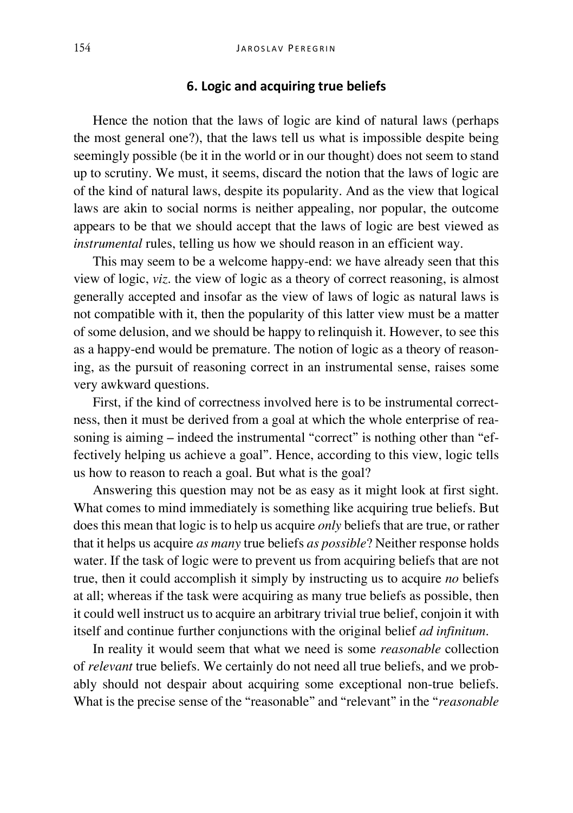#### **6. Logic and acquiring true beliefs**

Hence the notion that the laws of logic are kind of natural laws (perhaps the most general one?), that the laws tell us what is impossible despite being seemingly possible (be it in the world or in our thought) does not seem to stand up to scrutiny. We must, it seems, discard the notion that the laws of logic are of the kind of natural laws, despite its popularity. And as the view that logical laws are akin to social norms is neither appealing, nor popular, the outcome appears to be that we should accept that the laws of logic are best viewed as *instrumental* rules, telling us how we should reason in an efficient way.

This may seem to be a welcome happy-end: we have already seen that this view of logic, *viz*. the view of logic as a theory of correct reasoning, is almost generally accepted and insofar as the view of laws of logic as natural laws is not compatible with it, then the popularity of this latter view must be a matter of some delusion, and we should be happy to relinquish it. However, to see this as a happy-end would be premature. The notion of logic as a theory of reasoning, as the pursuit of reasoning correct in an instrumental sense, raises some very awkward questions.

First, if the kind of correctness involved here is to be instrumental correctness, then it must be derived from a goal at which the whole enterprise of reasoning is aiming – indeed the instrumental "correct" is nothing other than "effectively helping us achieve a goal". Hence, according to this view, logic tells us how to reason to reach a goal. But what is the goal?

Answering this question may not be as easy as it might look at first sight. What comes to mind immediately is something like acquiring true beliefs. But does this mean that logic is to help us acquire *only* beliefs that are true, or rather that it helps us acquire *as many* true beliefs *as possible*? Neither response holds water. If the task of logic were to prevent us from acquiring beliefs that are not true, then it could accomplish it simply by instructing us to acquire *no* beliefs at all; whereas if the task were acquiring as many true beliefs as possible, then it could well instruct us to acquire an arbitrary trivial true belief, conjoin it with itself and continue further conjunctions with the original belief *ad infinitum*.

In reality it would seem that what we need is some *reasonable* collection of *relevant* true beliefs. We certainly do not need all true beliefs, and we probably should not despair about acquiring some exceptional non-true beliefs. What is the precise sense of the "reasonable" and "relevant" in the "*reasonable*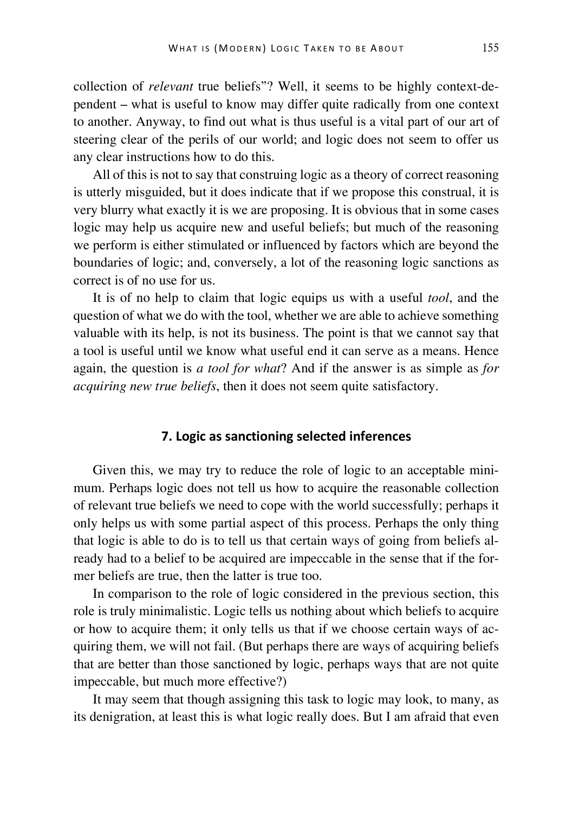collection of *relevant* true beliefs"? Well, it seems to be highly context-dependent – what is useful to know may differ quite radically from one context to another. Anyway, to find out what is thus useful is a vital part of our art of steering clear of the perils of our world; and logic does not seem to offer us any clear instructions how to do this.

All of this is not to say that construing logic as a theory of correct reasoning is utterly misguided, but it does indicate that if we propose this construal, it is very blurry what exactly it is we are proposing. It is obvious that in some cases logic may help us acquire new and useful beliefs; but much of the reasoning we perform is either stimulated or influenced by factors which are beyond the boundaries of logic; and, conversely, a lot of the reasoning logic sanctions as correct is of no use for us.

It is of no help to claim that logic equips us with a useful *tool*, and the question of what we do with the tool, whether we are able to achieve something valuable with its help, is not its business. The point is that we cannot say that a tool is useful until we know what useful end it can serve as a means. Hence again, the question is *a tool for what*? And if the answer is as simple as *for acquiring new true beliefs*, then it does not seem quite satisfactory.

## **7. Logic as sanctioning selected inferences**

Given this, we may try to reduce the role of logic to an acceptable minimum. Perhaps logic does not tell us how to acquire the reasonable collection of relevant true beliefs we need to cope with the world successfully; perhaps it only helps us with some partial aspect of this process. Perhaps the only thing that logic is able to do is to tell us that certain ways of going from beliefs already had to a belief to be acquired are impeccable in the sense that if the former beliefs are true, then the latter is true too.

In comparison to the role of logic considered in the previous section, this role is truly minimalistic. Logic tells us nothing about which beliefs to acquire or how to acquire them; it only tells us that if we choose certain ways of acquiring them, we will not fail. (But perhaps there are ways of acquiring beliefs that are better than those sanctioned by logic, perhaps ways that are not quite impeccable, but much more effective?)

It may seem that though assigning this task to logic may look, to many, as its denigration, at least this is what logic really does. But I am afraid that even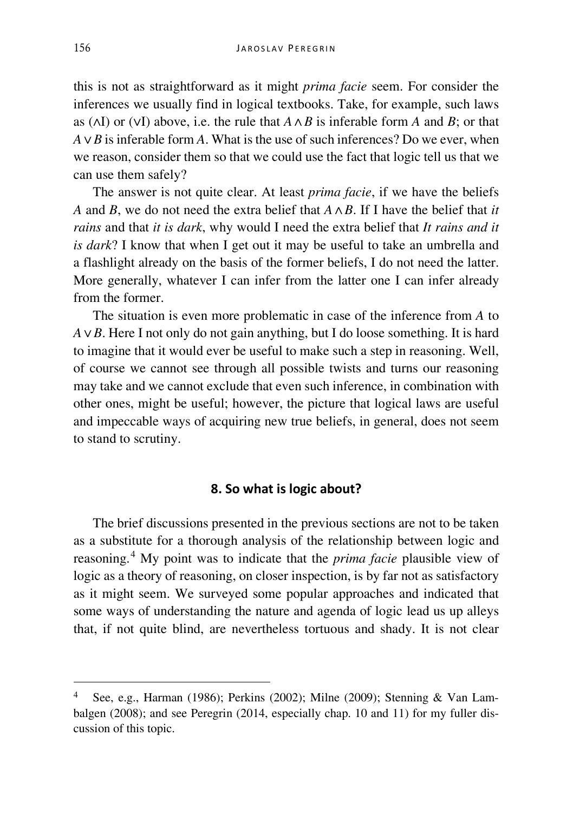this is not as straightforward as it might *prima facie* seem. For consider the inferences we usually find in logical textbooks. Take, for example, such laws as (∧I) or (∨I) above, i.e. the rule that *A* ∧ *B* is inferable form *A* and *B*; or that *A* ∨ *B* is inferable form *A*. What is the use of such inferences? Do we ever, when we reason, consider them so that we could use the fact that logic tell us that we can use them safely?

The answer is not quite clear. At least *prima facie*, if we have the beliefs *A* and *B*, we do not need the extra belief that *A* ∧ *B*. If I have the belief that *it rains* and that *it is dark*, why would I need the extra belief that *It rains and it is dark*? I know that when I get out it may be useful to take an umbrella and a flashlight already on the basis of the former beliefs, I do not need the latter. More generally, whatever I can infer from the latter one I can infer already from the former.

The situation is even more problematic in case of the inference from *A* to *A* ∨ *B*. Here I not only do not gain anything, but I do loose something. It is hard to imagine that it would ever be useful to make such a step in reasoning. Well, of course we cannot see through all possible twists and turns our reasoning may take and we cannot exclude that even such inference, in combination with other ones, might be useful; however, the picture that logical laws are useful and impeccable ways of acquiring new true beliefs, in general, does not seem to stand to scrutiny.

#### **8. So what is logic about?**

The brief discussions presented in the previous sections are not to be taken as a substitute for a thorough analysis of the relationship between logic and reasoning.[4](#page-14-0) My point was to indicate that the *prima facie* plausible view of logic as a theory of reasoning, on closer inspection, is by far not as satisfactory as it might seem. We surveyed some popular approaches and indicated that some ways of understanding the nature and agenda of logic lead us up alleys that, if not quite blind, are nevertheless tortuous and shady. It is not clear

<span id="page-14-0"></span>See, e.g., Harman (1986); Perkins (2002); Milne (2009); Stenning & Van Lambalgen (2008); and see Peregrin (2014, especially chap. 10 and 11) for my fuller discussion of this topic.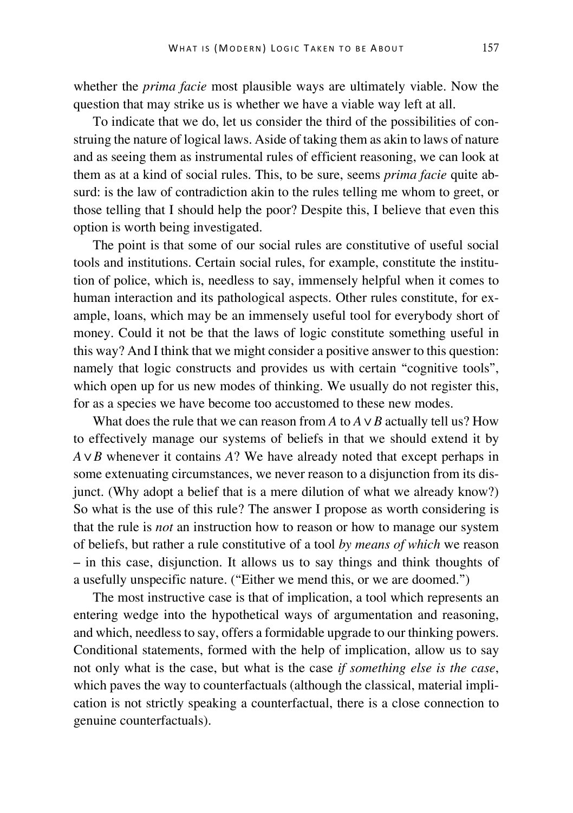whether the *prima facie* most plausible ways are ultimately viable. Now the question that may strike us is whether we have a viable way left at all.

To indicate that we do, let us consider the third of the possibilities of construing the nature of logical laws. Aside of taking them as akin to laws of nature and as seeing them as instrumental rules of efficient reasoning, we can look at them as at a kind of social rules. This, to be sure, seems *prima facie* quite absurd: is the law of contradiction akin to the rules telling me whom to greet, or those telling that I should help the poor? Despite this, I believe that even this option is worth being investigated.

The point is that some of our social rules are constitutive of useful social tools and institutions. Certain social rules, for example, constitute the institution of police, which is, needless to say, immensely helpful when it comes to human interaction and its pathological aspects. Other rules constitute, for example, loans, which may be an immensely useful tool for everybody short of money. Could it not be that the laws of logic constitute something useful in this way? And I think that we might consider a positive answer to this question: namely that logic constructs and provides us with certain "cognitive tools", which open up for us new modes of thinking. We usually do not register this, for as a species we have become too accustomed to these new modes.

What does the rule that we can reason from *A* to  $A \vee B$  actually tell us? How to effectively manage our systems of beliefs in that we should extend it by *A* ∨ *B* whenever it contains *A*? We have already noted that except perhaps in some extenuating circumstances, we never reason to a disjunction from its disjunct. (Why adopt a belief that is a mere dilution of what we already know?) So what is the use of this rule? The answer I propose as worth considering is that the rule is *not* an instruction how to reason or how to manage our system of beliefs, but rather a rule constitutive of a tool *by means of which* we reason – in this case, disjunction. It allows us to say things and think thoughts of a usefully unspecific nature. ("Either we mend this, or we are doomed.")

The most instructive case is that of implication, a tool which represents an entering wedge into the hypothetical ways of argumentation and reasoning, and which, needless to say, offers a formidable upgrade to our thinking powers. Conditional statements, formed with the help of implication, allow us to say not only what is the case, but what is the case *if something else is the case*, which paves the way to counterfactuals (although the classical, material implication is not strictly speaking a counterfactual, there is a close connection to genuine counterfactuals).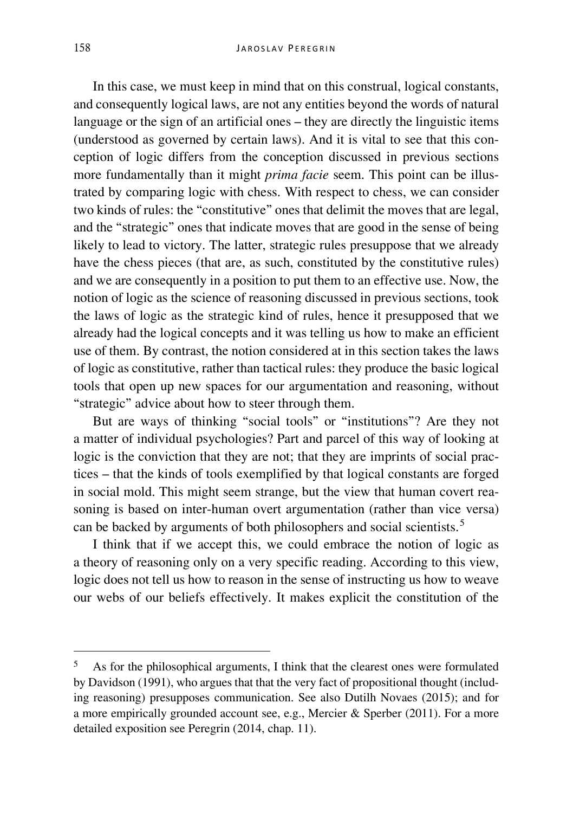In this case, we must keep in mind that on this construal, logical constants, and consequently logical laws, are not any entities beyond the words of natural language or the sign of an artificial ones – they are directly the linguistic items (understood as governed by certain laws). And it is vital to see that this conception of logic differs from the conception discussed in previous sections more fundamentally than it might *prima facie* seem. This point can be illustrated by comparing logic with chess. With respect to chess, we can consider two kinds of rules: the "constitutive" ones that delimit the moves that are legal, and the "strategic" ones that indicate moves that are good in the sense of being likely to lead to victory. The latter, strategic rules presuppose that we already have the chess pieces (that are, as such, constituted by the constitutive rules) and we are consequently in a position to put them to an effective use. Now, the notion of logic as the science of reasoning discussed in previous sections, took the laws of logic as the strategic kind of rules, hence it presupposed that we already had the logical concepts and it was telling us how to make an efficient use of them. By contrast, the notion considered at in this section takes the laws of logic as constitutive, rather than tactical rules: they produce the basic logical tools that open up new spaces for our argumentation and reasoning, without "strategic" advice about how to steer through them.

But are ways of thinking "social tools" or "institutions"? Are they not a matter of individual psychologies? Part and parcel of this way of looking at logic is the conviction that they are not; that they are imprints of social practices – that the kinds of tools exemplified by that logical constants are forged in social mold. This might seem strange, but the view that human covert reasoning is based on inter-human overt argumentation (rather than vice versa) can be backed by arguments of both philosophers and social scientists.<sup>[5](#page-16-0)</sup>

I think that if we accept this, we could embrace the notion of logic as a theory of reasoning only on a very specific reading. According to this view, logic does not tell us how to reason in the sense of instructing us how to weave our webs of our beliefs effectively. It makes explicit the constitution of the

<span id="page-16-0"></span> <sup>5</sup> As for the philosophical arguments, I think that the clearest ones were formulated by Davidson (1991), who argues that that the very fact of propositional thought (including reasoning) presupposes communication. See also Dutilh Novaes (2015); and for a more empirically grounded account see, e.g., Mercier & Sperber (2011). For a more detailed exposition see Peregrin (2014, chap. 11).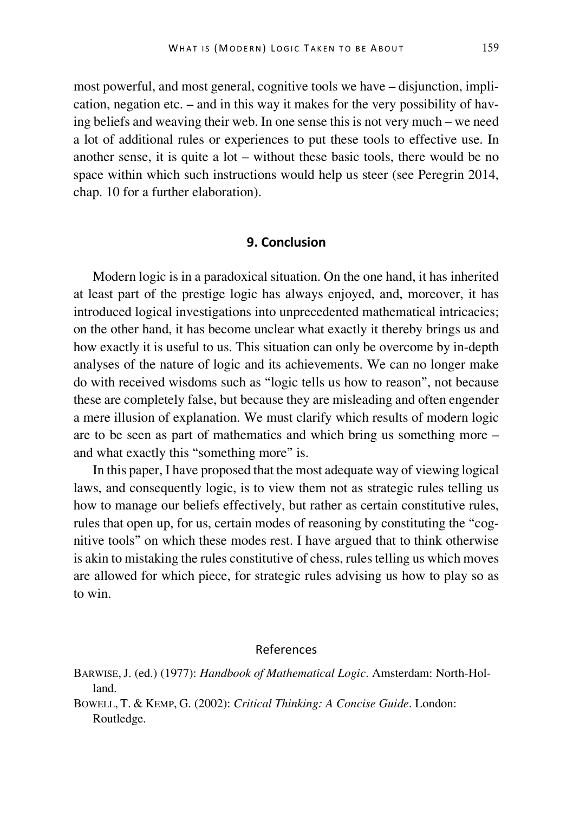most powerful, and most general, cognitive tools we have – disjunction, implication, negation etc. – and in this way it makes for the very possibility of having beliefs and weaving their web. In one sense this is not very much – we need a lot of additional rules or experiences to put these tools to effective use. In another sense, it is quite a  $\text{lot}$  – without these basic tools, there would be no space within which such instructions would help us steer (see Peregrin 2014, chap. 10 for a further elaboration).

## **9. Conclusion**

Modern logic is in a paradoxical situation. On the one hand, it has inherited at least part of the prestige logic has always enjoyed, and, moreover, it has introduced logical investigations into unprecedented mathematical intricacies; on the other hand, it has become unclear what exactly it thereby brings us and how exactly it is useful to us. This situation can only be overcome by in-depth analyses of the nature of logic and its achievements. We can no longer make do with received wisdoms such as "logic tells us how to reason", not because these are completely false, but because they are misleading and often engender a mere illusion of explanation. We must clarify which results of modern logic are to be seen as part of mathematics and which bring us something more – and what exactly this "something more" is.

In this paper, I have proposed that the most adequate way of viewing logical laws, and consequently logic, is to view them not as strategic rules telling us how to manage our beliefs effectively, but rather as certain constitutive rules, rules that open up, for us, certain modes of reasoning by constituting the "cognitive tools" on which these modes rest. I have argued that to think otherwise is akin to mistaking the rules constitutive of chess, rules telling us which moves are allowed for which piece, for strategic rules advising us how to play so as to win.

#### References

BARWISE,J. (ed.) (1977): *Handbook of Mathematical Logic*. Amsterdam: North-Holland.

BOWELL, T. & KEMP, G. (2002): *Critical Thinking: A Concise Guide*. London: Routledge.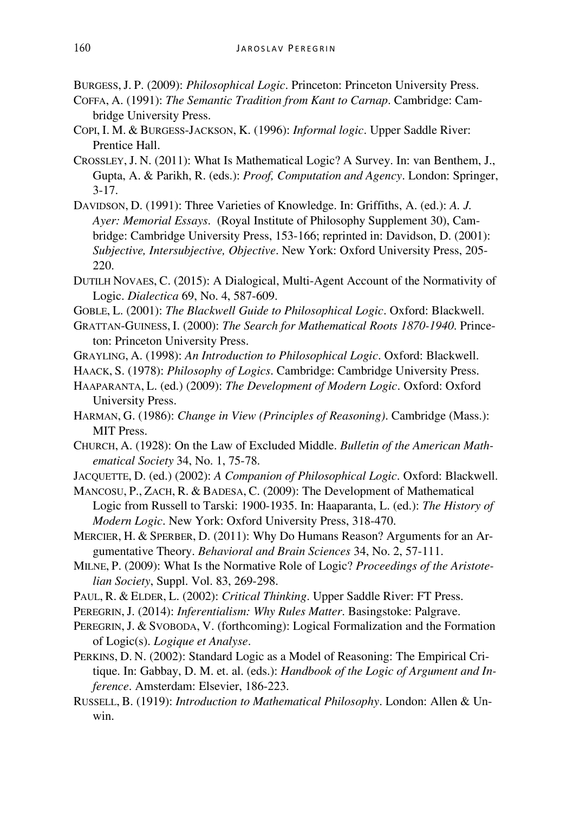BURGESS,J. P. (2009): *Philosophical Logic*. Princeton: Princeton University Press.

- COFFA, A. (1991): *The Semantic Tradition from Kant to Carnap*. Cambridge: Cambridge University Press.
- COPI, I. M. & BURGESS-JACKSON, K. (1996): *Informal logic*. Upper Saddle River: Prentice Hall.
- CROSSLEY, J. N. (2011): What Is Mathematical Logic? A Survey. In: van Benthem, J., Gupta, A. & Parikh, R. (eds.): *Proof, Computation and Agency*. London: Springer, 3-17.
- DAVIDSON, D. (1991): Three Varieties of Knowledge. In: Griffiths, A. (ed.): *A. J. Ayer: Memorial Essays*. (Royal Institute of Philosophy Supplement 30), Cambridge: Cambridge University Press, 153-166; reprinted in: Davidson, D. (2001): *Subjective, Intersubjective, Objective*. New York: Oxford University Press, 205- 220.
- DUTILH NOVAES, C. (2015): A Dialogical, Multi-Agent Account of the Normativity of Logic. *Dialectica* 69, No. 4, 587-609.
- GOBLE, L. (2001): *The Blackwell Guide to Philosophical Logic*. Oxford: Blackwell.
- GRATTAN-GUINESS, I. (2000): *The Search for Mathematical Roots 1870-1940*. Princeton: Princeton University Press.
- GRAYLING, A. (1998): *An Introduction to Philosophical Logic*. Oxford: Blackwell.
- HAACK, S. (1978): *Philosophy of Logics*. Cambridge: Cambridge University Press.
- HAAPARANTA, L. (ed.) (2009): *The Development of Modern Logic*. Oxford: Oxford University Press.
- HARMAN, G. (1986): *Change in View (Principles of Reasoning)*. Cambridge (Mass.): MIT Press.
- CHURCH, A. (1928): On the Law of Excluded Middle. *Bulletin of the American Mathematical Society* 34, No. 1, 75-78.
- JACQUETTE, D. (ed.) (2002): *A Companion of Philosophical Logic*. Oxford: Blackwell.
- MANCOSU, P., ZACH, R. & BADESA, C. (2009): The Development of Mathematical Logic from Russell to Tarski: 1900-1935. In: Haaparanta, L. (ed.): *The History of Modern Logic*. New York: Oxford University Press, 318-470.
- MERCIER, H. & SPERBER, D. (2011): Why Do Humans Reason? Arguments for an Argumentative Theory. *Behavioral and Brain Sciences* 34, No. 2, 57-111.
- MILNE, P. (2009): What Is the Normative Role of Logic? *Proceedings of the Aristotelian Society*, Suppl. Vol. 83, 269-298.
- PAUL, R. & ELDER, L. (2002): *Critical Thinking*. Upper Saddle River: FT Press.
- PEREGRIN, J. (2014): *Inferentialism: Why Rules Matter*. Basingstoke: Palgrave.
- PEREGRIN, J. & SVOBODA, V. (forthcoming): Logical Formalization and the Formation of Logic(s). *Logique et Analyse*.
- PERKINS, D. N. (2002): Standard Logic as a Model of Reasoning: The Empirical Critique. In: Gabbay, D. M. et. al. (eds.): *Handbook of the Logic of Argument and Inference*. Amsterdam: Elsevier, 186-223.
- RUSSELL, B. (1919): *Introduction to Mathematical Philosophy*. London: Allen & Unwin.